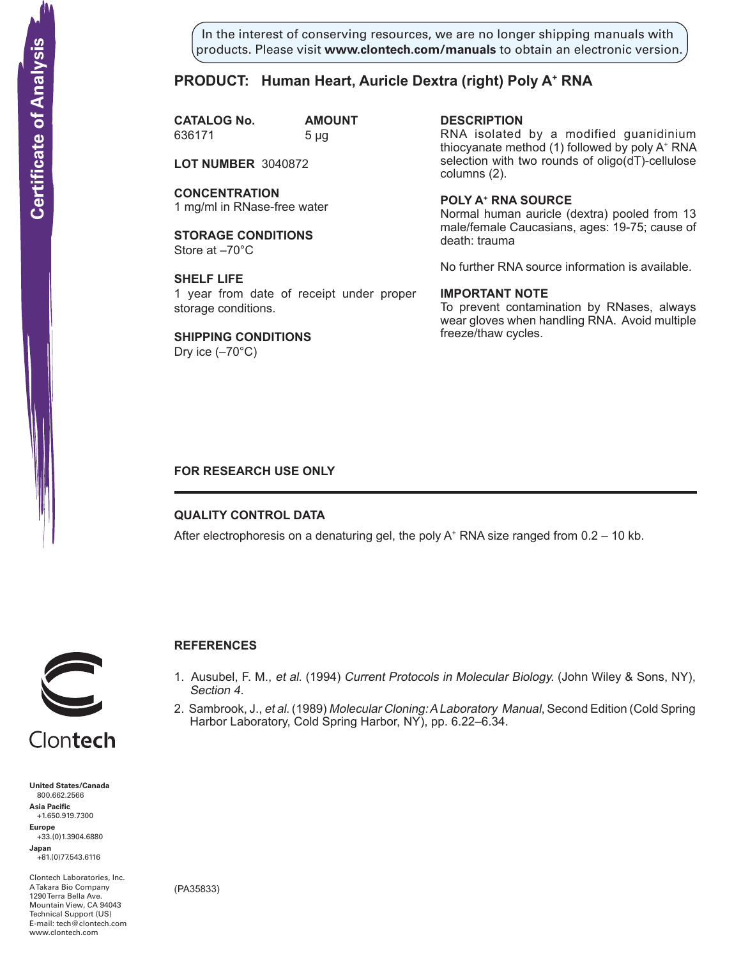In the interest of conserving resources, we are no longer shipping manuals with products. Please visit **www.clontech.com/manuals** to obtain an electronic version.

# **PRODUCT:** Human Heart, Auricle Dextra (right) Poly A<sup>+</sup> RNA

**CATALOG No. AMOUNT** 636171 5 µg

**LOT NUMBER** 3040872

**CONCENTRATION** 1 mg/ml in RNase-free water

**STORAGE CONDITIONS** Store at –70°C

**SHELF LIFE** 1 year from date of receipt under proper storage conditions.

**SHIPPING CONDITIONS** Dry ice  $(-70^{\circ}C)$ 

**description** RNA isolated by a modified guanidinium thiocyanate method (1) followed by poly A+ RNA selection with two rounds of oligo(dT)-cellulose columns (2).

**Poly a+ RNA source** Normal human auricle (dextra) pooled from 13 male/female Caucasians, ages: 19-75; cause of death: trauma

No further RNA source information is available.

## **IMPORTANT NOTE**

To prevent contamination by RNases, always wear gloves when handling RNA. Avoid multiple freeze/thaw cycles.

## **FOR RESEARCH USE ONLY**

### **QUALITY CONTROL DATA**

After electrophoresis on a denaturing gel, the poly  $A^+$  RNA size ranged from 0.2 – 10 kb.



## **References**

- 1. Ausubel, F. M., et al. (1994) Current Protocols in Molecular Biology. (John Wiley & Sons, NY), Section 4.
- 2. Sambrook, J., et al. (1989) Molecular Cloning: A Laboratory Manual, Second Edition (Cold Spring Harbor Laboratory, Cold Spring Harbor, NY), pp. 6.22–6.34.

Clontech

**United States/Canada** 800.662.2566 **Asia Pacific** +1.650.919.7300 **Europe** +33.(0)1.3904.6880 **Japan** +81.(0)77.543.6116 **Solution Control Control Control Control Control Control Control Control Control Control Control Control Control Control Control Control Control Control Control Control Control Control Control Control Control Control Cont** 

Clontech Laboratories, Inc. A Takara Bio Company 1290 Terra Bella Ave. Mountain View, CA 94043 Technical Support (US) E-mail: tech@clontech.com<br>www.clontech.com

(PA35833)